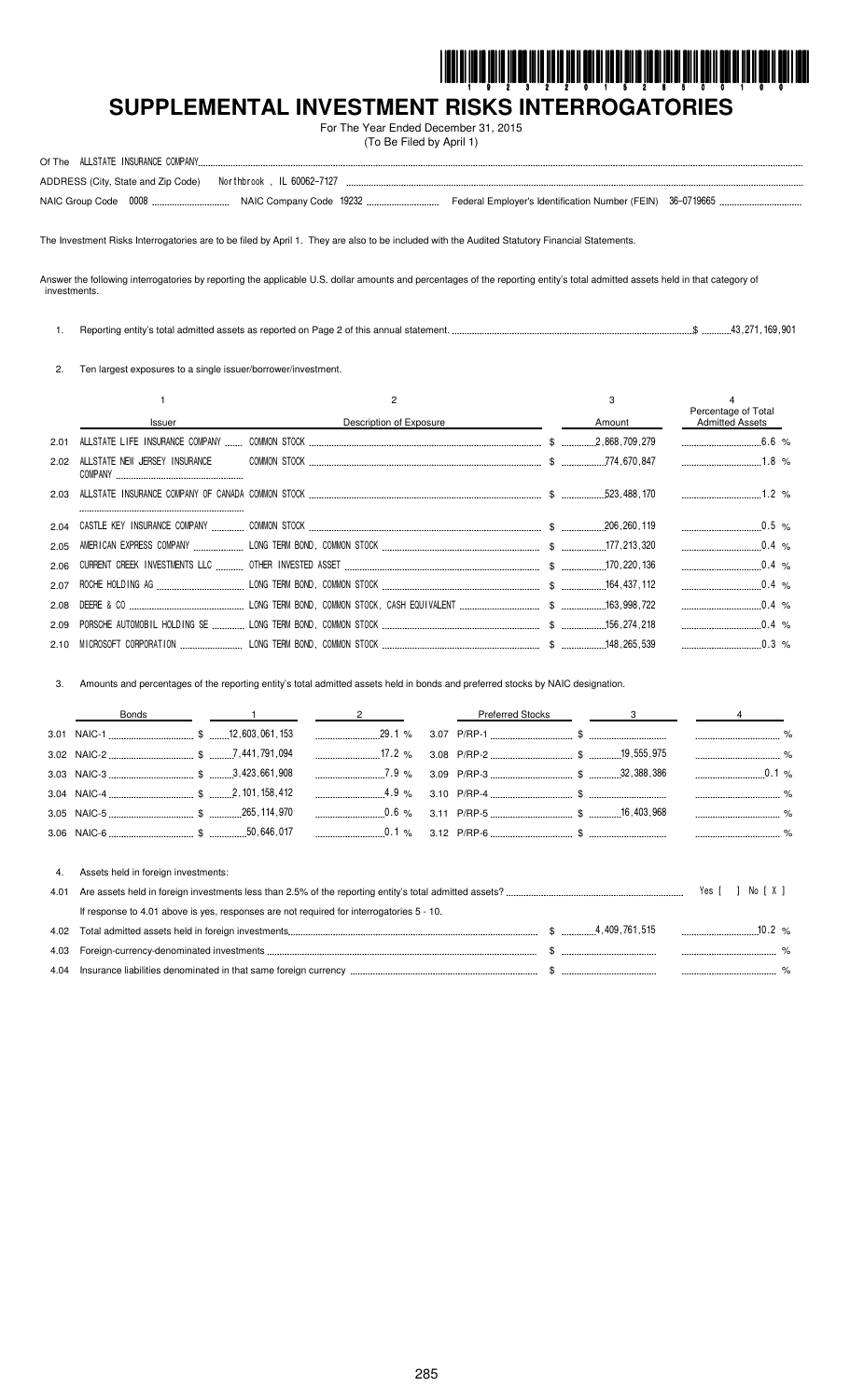

.. %

# SUPPLEMENTAL INVESTMENT RISKS INTERROGATORIES

For The Year Ended December 31, 2015 (To Be Filed by April 1)

| ADDRESS (City, State and Zip Code) Northbrook, IL 60062-7127 |  |                                                            |  |
|--------------------------------------------------------------|--|------------------------------------------------------------|--|
|                                                              |  | Federal Employer's Identification Number (FEIN) 36-0719665 |  |

The Investment Risks Interrogatories are to be filed by April 1. They are also to be included with the Audited Statutory Financial Statements.

Answer the following interrogatories by reporting the applicable U.S. dollar amounts and percentages of the reporting entity's total admitted assets held in that category of investments.

 $$$ ...............43,271,169,901 1. Reporting entity's total admitted assets as reported on Page 2 of this annual statement...

2. Ten largest exposures to a single issuer/borrower/investment.

|      |                               |                         | 3      | Percentage of Total    |
|------|-------------------------------|-------------------------|--------|------------------------|
|      | Issuer                        | Description of Exposure | Amount | <b>Admitted Assets</b> |
| 2.01 |                               |                         |        | $6.6\%$                |
| 2.02 | ALLSTATE NEW JERSEY INSURANCE |                         |        |                        |
| 2.03 |                               |                         |        |                        |
|      |                               |                         |        |                        |
| 2.05 |                               |                         |        | $\sim 0.4$ %           |
| 2.06 |                               |                         |        | $0.4\%$                |
| 2.07 |                               |                         |        | $0.4\%$                |
|      |                               |                         |        | $0.4\%$                |
| 2.09 |                               |                         |        | $0.4\%$                |
| 2.10 |                               |                         |        | $\sim$ 0.3 %           |

3. Amounts and percentages of the reporting entity's total admitted assets held in bonds and preferred stocks by NAIC designation.

|      | <b>Bonds</b>                                                                             | $\sim$ 1 $\sim$ 2 |  | <b>Preferred Stocks</b> | $\sim$ 3 |          |       |  |
|------|------------------------------------------------------------------------------------------|-------------------|--|-------------------------|----------|----------|-------|--|
|      |                                                                                          |                   |  |                         |          |          |       |  |
|      |                                                                                          |                   |  |                         |          |          |       |  |
|      |                                                                                          |                   |  |                         |          |          |       |  |
|      |                                                                                          |                   |  |                         |          |          |       |  |
|      |                                                                                          |                   |  |                         |          |          |       |  |
|      |                                                                                          |                   |  |                         |          |          |       |  |
|      |                                                                                          |                   |  |                         |          |          |       |  |
| 4.   | Assets held in foreign investments:                                                      |                   |  |                         |          |          |       |  |
| 4.01 |                                                                                          |                   |  |                         |          |          | NorXI |  |
|      | If response to 4.01 above is yes, responses are not required for interrogatories 5 - 10. |                   |  |                         |          |          |       |  |
| 4.02 |                                                                                          |                   |  |                         |          | $10.2\%$ |       |  |
| 4.03 |                                                                                          |                   |  |                         |          |          |       |  |

| 4.03 | ⊢ore⊾                                                              |  |        |
|------|--------------------------------------------------------------------|--|--------|
| 4.04 | surance liabilities denominated in that same foreign currency<br>. |  | ------ |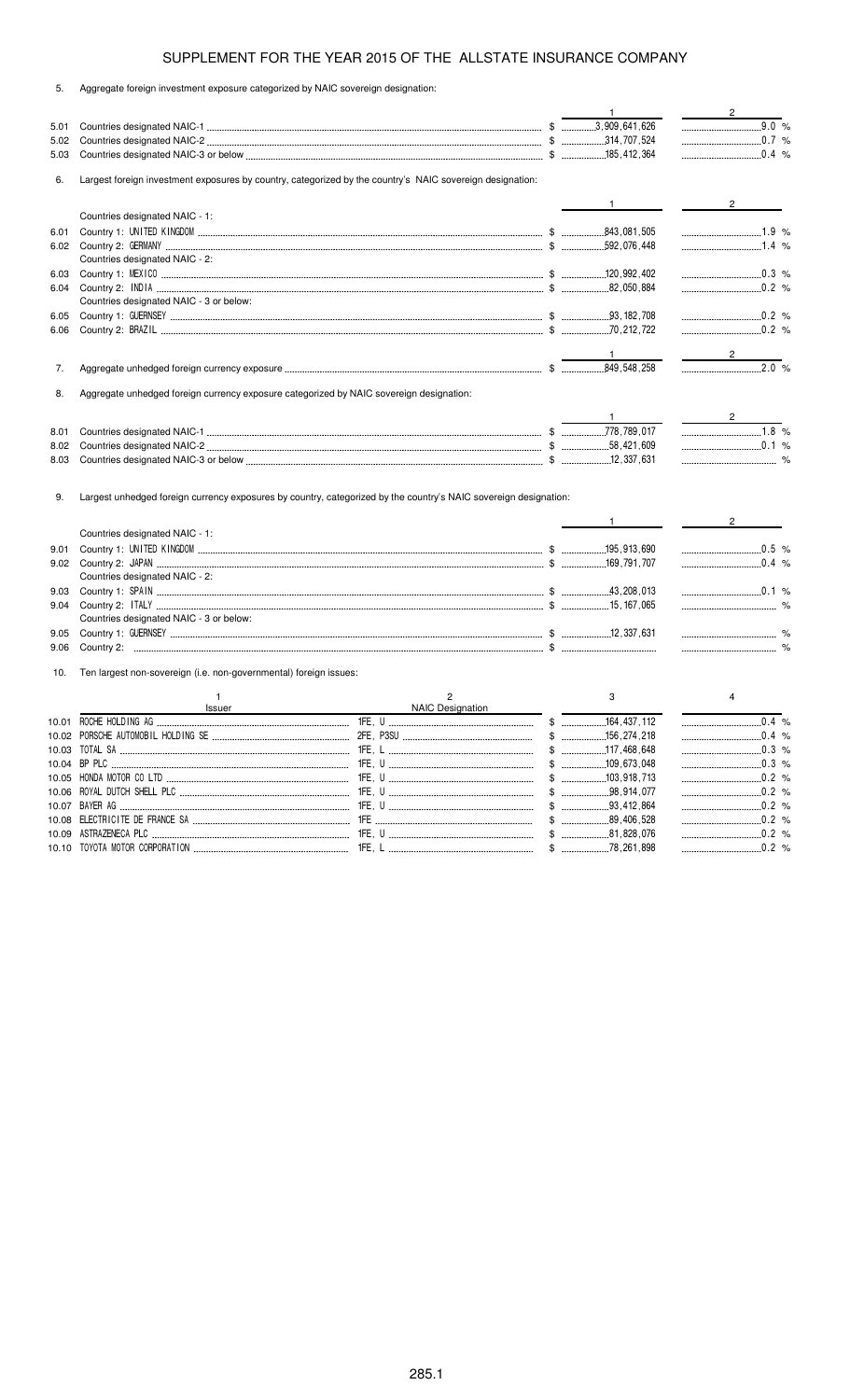| ົບ. | Aggregate foreign investment exposure categorized by NAIC sovereign designation: |  |  |  |  |  |  |
|-----|----------------------------------------------------------------------------------|--|--|--|--|--|--|
|-----|----------------------------------------------------------------------------------|--|--|--|--|--|--|

|      |                                                                                                                  |                |                  | $\overline{1}$            | $\overline{2}$                 |
|------|------------------------------------------------------------------------------------------------------------------|----------------|------------------|---------------------------|--------------------------------|
| 5.01 |                                                                                                                  |                |                  |                           | 9.0 %                          |
| 5.02 |                                                                                                                  |                |                  |                           |                                |
| 5.03 |                                                                                                                  |                |                  |                           | $\ldots$ 0.4 %                 |
| 6.   | Largest foreign investment exposures by country, categorized by the country's NAIC sovereign designation:        |                |                  |                           |                                |
|      |                                                                                                                  |                |                  | $1 \qquad \qquad$         | $2 \left( \frac{1}{2} \right)$ |
|      | Countries designated NAIC - 1:                                                                                   |                |                  |                           |                                |
| 6.01 |                                                                                                                  |                |                  |                           |                                |
| 6.02 |                                                                                                                  |                |                  |                           | $\ldots$ 1.4 %                 |
|      | Countries designated NAIC - 2:                                                                                   |                |                  |                           |                                |
| 6.03 |                                                                                                                  |                |                  |                           | $\ldots$ 0.3 %                 |
| 6.04 | Countries designated NAIC - 3 or below:                                                                          |                |                  |                           |                                |
|      |                                                                                                                  |                |                  |                           | $\ldots$ 0.2 %                 |
| 6.05 |                                                                                                                  |                |                  |                           |                                |
| 6.06 |                                                                                                                  |                |                  |                           |                                |
|      |                                                                                                                  |                |                  |                           | $\mathbf{2}$                   |
| 7.   |                                                                                                                  |                |                  |                           | 2.0%                           |
|      |                                                                                                                  |                |                  |                           |                                |
| 8.   | Aggregate unhedged foreign currency exposure categorized by NAIC sovereign designation:                          |                |                  |                           |                                |
|      |                                                                                                                  |                |                  |                           | $\frac{2}{\sqrt{2}}$           |
| 8.01 |                                                                                                                  |                |                  |                           | $1.8$ %                        |
| 8.02 |                                                                                                                  |                |                  |                           |                                |
| 8.03 |                                                                                                                  |                |                  |                           |                                |
| 9.   | Largest unhedged foreign currency exposures by country, categorized by the country's NAIC sovereign designation: |                |                  | $1$ <sub>__________</sub> | $2^{\circ}$                    |
|      | Countries designated NAIC - 1:                                                                                   |                |                  |                           |                                |
| 9.01 |                                                                                                                  |                |                  |                           | $\ldots$ 0.5 %                 |
| 9.02 |                                                                                                                  |                |                  |                           | $\ldots$ 0.4 %                 |
|      | Countries designated NAIC - 2:                                                                                   |                |                  |                           |                                |
| 9.03 |                                                                                                                  |                |                  |                           |                                |
| 9.04 |                                                                                                                  |                |                  |                           |                                |
|      | Countries designated NAIC - 3 or below:                                                                          |                |                  |                           |                                |
| 9.05 |                                                                                                                  |                |                  |                           |                                |
| 9.06 |                                                                                                                  |                |                  |                           |                                |
| 10.  | Ten largest non-sovereign (i.e. non-governmental) foreign issues:                                                |                |                  |                           |                                |
|      | $\mathbf{1}$<br>Issuer                                                                                           | $\overline{2}$ | NAIC Designation | 3                         | 4                              |
|      |                                                                                                                  |                |                  |                           | 0.4%                           |
|      |                                                                                                                  |                |                  |                           | $\ldots$ 0.4 %                 |
|      |                                                                                                                  |                |                  | $$$ 117,468,648           |                                |
|      |                                                                                                                  |                |                  |                           | $\ldots$ 0.3 %                 |
|      |                                                                                                                  |                |                  | $$$ 103,918,713           |                                |
|      |                                                                                                                  |                |                  |                           |                                |
|      |                                                                                                                  |                |                  |                           |                                |
|      |                                                                                                                  |                |                  |                           |                                |
|      |                                                                                                                  |                |                  | $$$ 81,828,076            |                                |

10.10 " \$- \$ -- %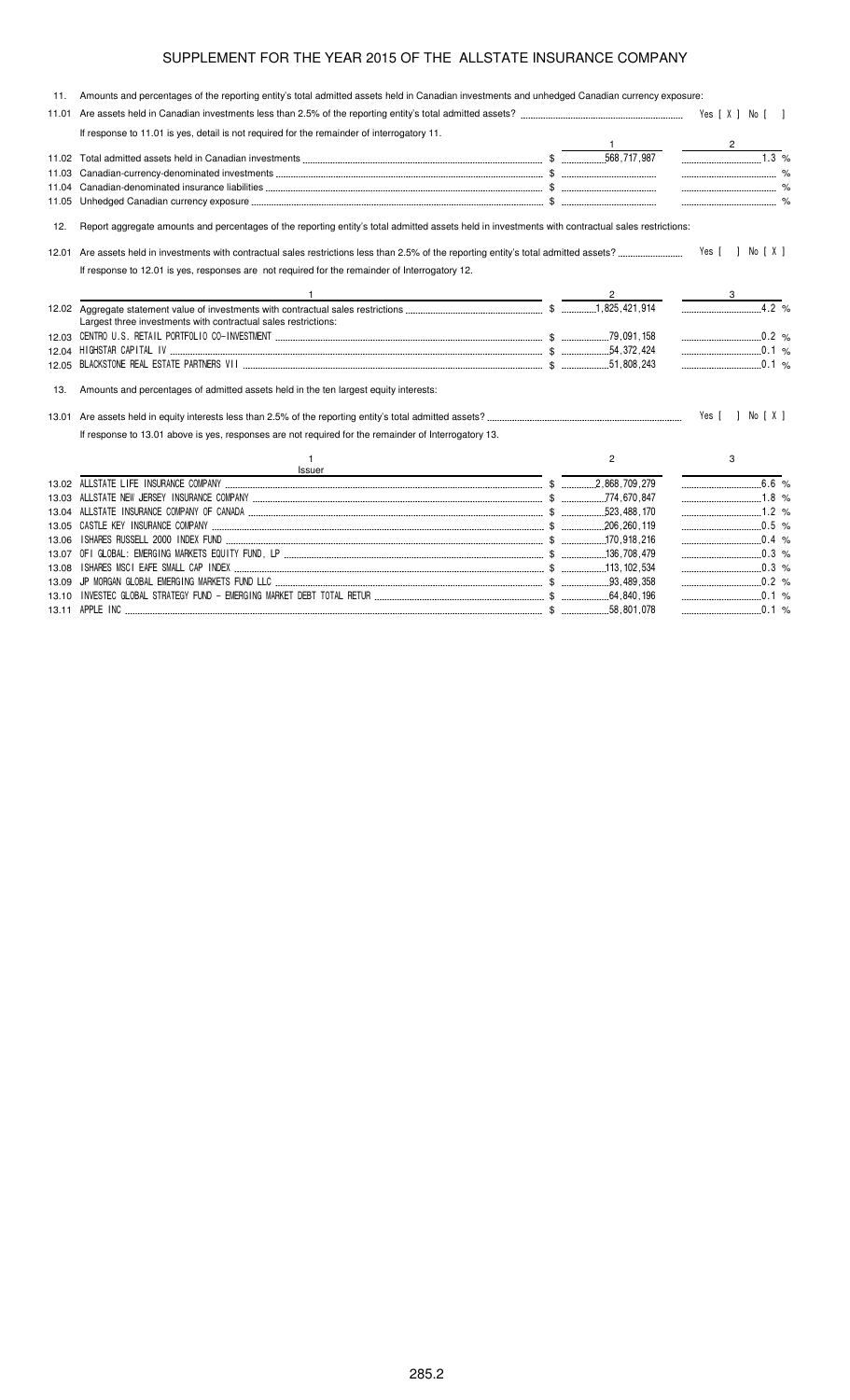|       | 11. Amounts and percentages of the reporting entity's total admitted assets held in Canadian investments and unhedged Canadian currency exposure: |                |                                      |
|-------|---------------------------------------------------------------------------------------------------------------------------------------------------|----------------|--------------------------------------|
|       |                                                                                                                                                   |                |                                      |
|       | If response to 11.01 is yes, detail is not required for the remainder of interrogatory 11.                                                        |                |                                      |
|       |                                                                                                                                                   |                | $\overline{\phantom{a}2\phantom{a}}$ |
|       |                                                                                                                                                   |                | $\overline{1.3}$ %                   |
|       |                                                                                                                                                   |                |                                      |
|       |                                                                                                                                                   |                |                                      |
|       |                                                                                                                                                   |                |                                      |
| 12.   | Report aggregate amounts and percentages of the reporting entity's total admitted assets held in investments with contractual sales restrictions: |                |                                      |
|       |                                                                                                                                                   |                | Yes [ ] No [ X ]                     |
|       | If response to 12.01 is yes, responses are not required for the remainder of Interrogatory 12.                                                    |                |                                      |
|       |                                                                                                                                                   |                |                                      |
|       | Largest three investments with contractual sales restrictions:                                                                                    |                | 4.2%                                 |
|       |                                                                                                                                                   |                | $\ldots$ 0.2 %                       |
|       | 12.04 HIGHSTAR CAPITAL IV (2002) 424 THE STAR CAPITAL IV (2014) 424                                                                               |                |                                      |
|       |                                                                                                                                                   |                | $\ldots$ 0.1 %                       |
| 13.   | Amounts and percentages of admitted assets held in the ten largest equity interests:                                                              |                |                                      |
|       |                                                                                                                                                   |                | Yes [ ] No [ X ]                     |
|       | If response to 13.01 above is yes, responses are not required for the remainder of Interrogatory 13.                                              |                |                                      |
|       | 1.<br>Issuer                                                                                                                                      | $\overline{2}$ | 3                                    |
|       |                                                                                                                                                   |                | $\overline{6.6}$ %                   |
|       |                                                                                                                                                   |                |                                      |
|       |                                                                                                                                                   |                | $1.2\%$                              |
|       |                                                                                                                                                   |                |                                      |
| 13.06 |                                                                                                                                                   |                |                                      |
|       |                                                                                                                                                   |                | $\ldots$ 0.3 %                       |
| 13.08 |                                                                                                                                                   |                |                                      |
|       |                                                                                                                                                   |                | $0.2$ %                              |

13.10 " &' & + ! #&& #( +' \$ \$ \$ % 13.11 \$ 
\$
\$ \$ %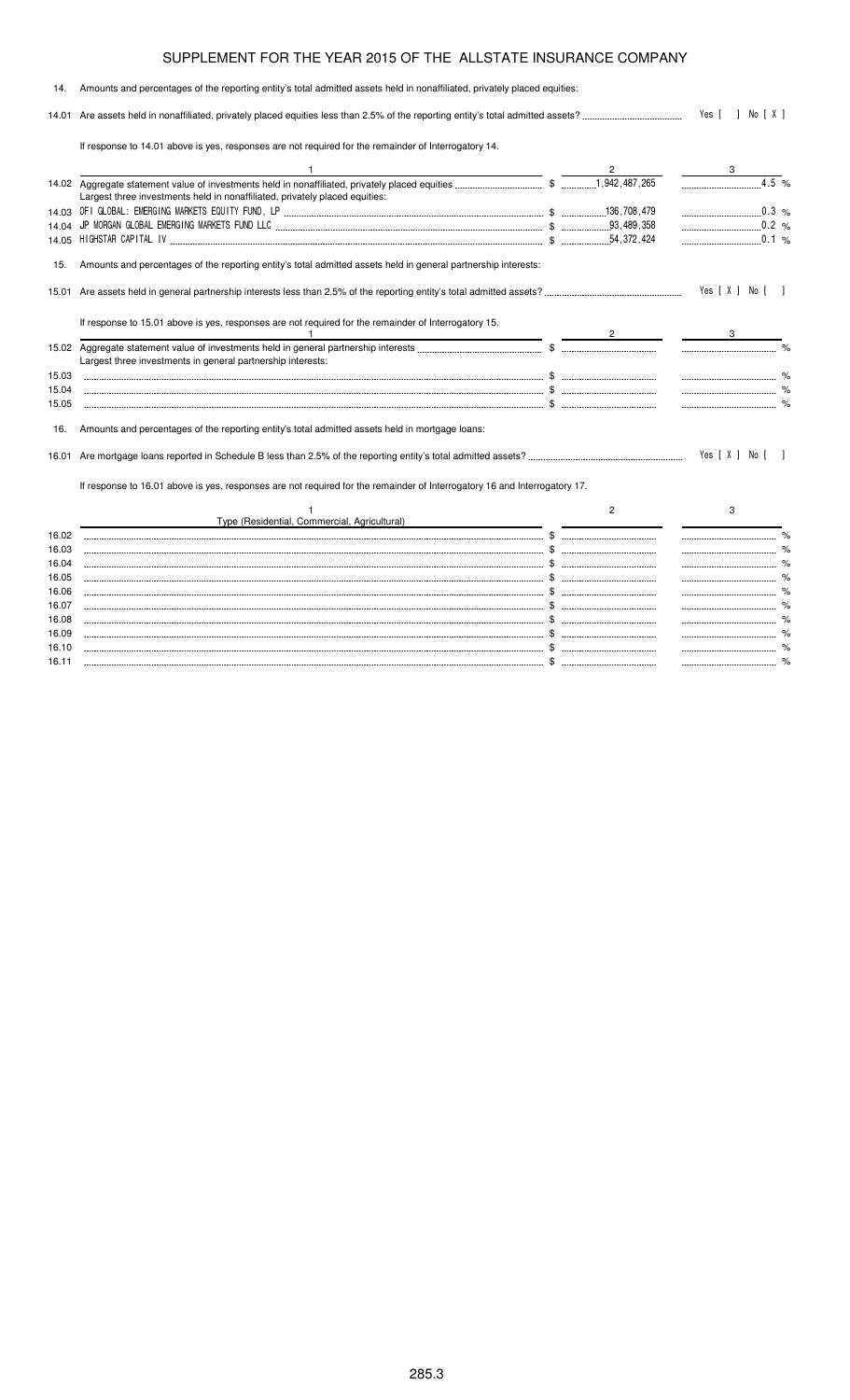### 14. Amounts and percentages of the reporting entity's total admitted assets held in nonaffiliated, privately placed equities: 14.01 Are assets held in nonaffiliated, privately placed equities less than 2.5% of the reporting entity's total admitted assets? - $\therefore$  Yes [ ] No [ X ] If response to 14.01 above is yes, responses are not required for the remainder of Interrogatory 14. 1  $\overline{\phantom{a}}$  3 14.02 Aggregate statement value of investments held in nonaffiliated, privately placed equities \$  % Largest three investments held in nonaffiliated, privately placed equities: 14.03 ! "# #\$ % \$ &'
 '& % 14.04 (% ! #\$ ) \$ &
& ' % 14.05 \*\*! )% + \$ & '  $.0.1%$ 15. Amounts and percentages of the reporting entity's total admitted assets held in general partnership interests: 15.01 Are assets held in general partnership interests less than 2.5% of the reporting entity's total admitted assets? -Yes [ X ] No [ ] If response to 15.01 above is yes, responses are not required for the remainder of Interrogatory 15. 1  $\overline{\phantom{a}}$  3 15.02 Aggregate statement value of investments held in general partnership interests \$ % Largest three investments in general partnership interests: 15.03 \$ % 15.04 \$ % 15.05 \$ % 16. Amounts and percentages of the reporting entity's total admitted assets held in mortgage loans: 16.01 Are mortgage loans reported in Schedule B less than 2.5% of the reporting entity's total admitted assets? - $\ldots$  Yes [ X ] No [ ] If response to 16.01 above is yes, responses are not required for the remainder of Interrogatory 16 and Interrogatory 17. 1 Type (Residential, Commercial, Agricultural) 2 3 16.02 \$ % 16.03 \$ % 16.04 \$ % 16.05 \$ % 16.06 \$ % 16.07 \$ % 16.08 \$ % 16.09 \$ %

16.10 \$ % 16.11 \$ %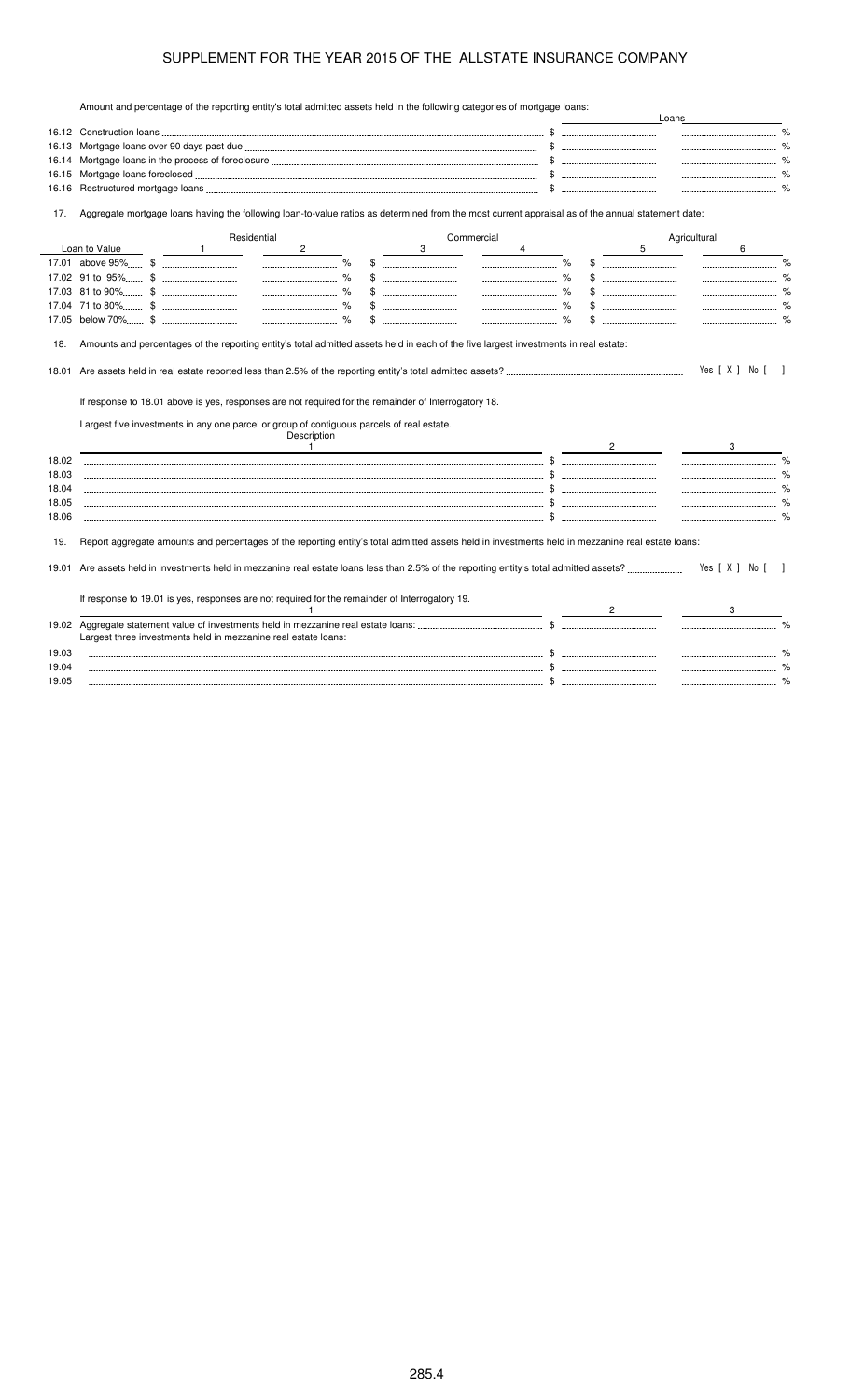Amount and percentage of the reporting entity's total admitted assets held in the following categories of mortgage loans:

|       | Amount and percentage of the reporting entity's total admitted assets held in the following categories of mongage loans.                          |   |            |                | Loans                                                  |
|-------|---------------------------------------------------------------------------------------------------------------------------------------------------|---|------------|----------------|--------------------------------------------------------|
|       |                                                                                                                                                   |   |            |                |                                                        |
| 16.13 |                                                                                                                                                   |   |            |                |                                                        |
| 16.14 |                                                                                                                                                   |   |            |                |                                                        |
| 16.15 |                                                                                                                                                   |   |            |                |                                                        |
| 16.16 |                                                                                                                                                   |   |            |                |                                                        |
| 17.   | Aggregate mortgage loans having the following loan-to-value ratios as determined from the most current appraisal as of the annual statement date: |   |            |                |                                                        |
|       | Residential                                                                                                                                       |   | Commercial |                | Agricultural                                           |
|       | Loan to Value<br>$\mathbf{2}$<br>$\overline{1}$                                                                                                   | 3 |            |                | 5<br>6                                                 |
|       |                                                                                                                                                   |   |            |                |                                                        |
|       |                                                                                                                                                   |   |            |                |                                                        |
|       |                                                                                                                                                   |   |            |                |                                                        |
|       |                                                                                                                                                   |   |            |                |                                                        |
|       |                                                                                                                                                   |   |            |                | $\$\$                                                  |
|       |                                                                                                                                                   |   |            |                |                                                        |
| 18.   | Amounts and percentages of the reporting entity's total admitted assets held in each of the five largest investments in real estate:              |   |            |                |                                                        |
| 18.01 |                                                                                                                                                   |   |            |                | Yes [ X ] No [ ]                                       |
|       | If response to 18.01 above is yes, responses are not required for the remainder of Interrogatory 18.                                              |   |            |                |                                                        |
|       | Largest five investments in any one parcel or group of contiguous parcels of real estate.                                                         |   |            |                |                                                        |
|       | Description                                                                                                                                       |   |            |                |                                                        |
|       | $\overline{1}$                                                                                                                                    |   |            | $\overline{2}$ | 3                                                      |
| 18.02 |                                                                                                                                                   |   |            |                | $\frac{9}{6}$<br>------------------------------------- |
| 18.03 |                                                                                                                                                   |   |            |                |                                                        |
| 18.04 |                                                                                                                                                   |   |            |                |                                                        |
| 18.05 |                                                                                                                                                   |   |            |                |                                                        |
| 18.06 |                                                                                                                                                   |   |            |                |                                                        |
| 19.   | Report aggregate amounts and percentages of the reporting entity's total admitted assets held in investments held in mezzanine real estate loans: |   |            |                |                                                        |
| 19.01 |                                                                                                                                                   |   |            |                | Yes [X ] No []                                         |
|       | If response to 19.01 is yes, responses are not required for the remainder of Interrogatory 19.                                                    |   |            |                |                                                        |
|       |                                                                                                                                                   |   |            |                |                                                        |
|       | Largest three investments held in mezzanine real estate loans:                                                                                    |   |            |                |                                                        |
| 19.03 |                                                                                                                                                   |   |            |                |                                                        |
| 19.04 |                                                                                                                                                   |   |            |                |                                                        |
| 19.05 |                                                                                                                                                   |   |            |                |                                                        |
|       |                                                                                                                                                   |   |            |                |                                                        |